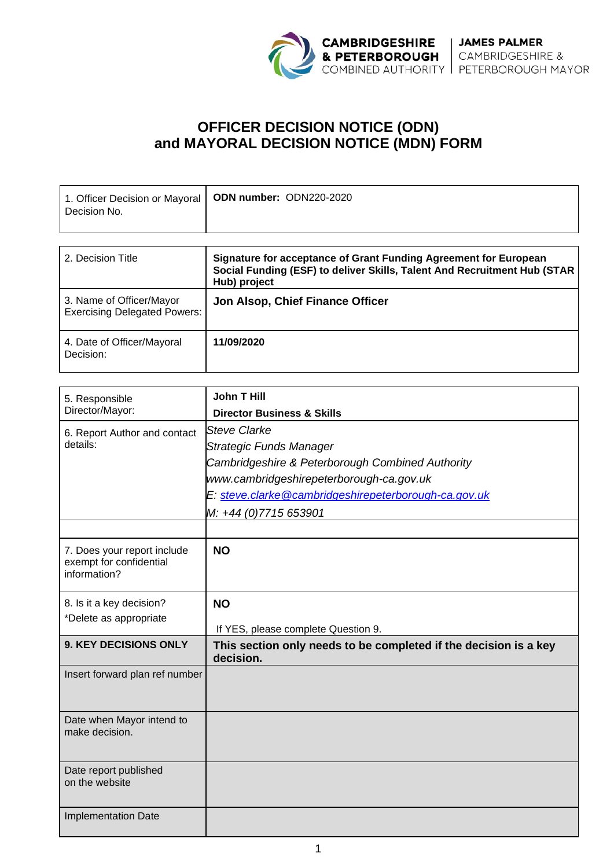

## **OFFICER DECISION NOTICE (ODN) and MAYORAL DECISION NOTICE (MDN) FORM**

|              | 1. Officer Decision or Mayoral   ODN number: ODN220-2020 |
|--------------|----------------------------------------------------------|
| Decision No. |                                                          |

| 2. Decision Title                                               | Signature for acceptance of Grant Funding Agreement for European<br>Social Funding (ESF) to deliver Skills, Talent And Recruitment Hub (STAR<br>Hub) project |  |
|-----------------------------------------------------------------|--------------------------------------------------------------------------------------------------------------------------------------------------------------|--|
| 3. Name of Officer/Mayor<br><b>Exercising Delegated Powers:</b> | Jon Alsop, Chief Finance Officer                                                                                                                             |  |
| 4. Date of Officer/Mayoral<br>Decision:                         | 11/09/2020                                                                                                                                                   |  |

| 5. Responsible                                                         | <b>John T Hill</b>                                                            |
|------------------------------------------------------------------------|-------------------------------------------------------------------------------|
| Director/Mayor:                                                        | <b>Director Business &amp; Skills</b>                                         |
| 6. Report Author and contact                                           | <b>Steve Clarke</b>                                                           |
| details:                                                               | <b>Strategic Funds Manager</b>                                                |
|                                                                        | Cambridgeshire & Peterborough Combined Authority                              |
|                                                                        | www.cambridgeshirepeterborough-ca.gov.uk                                      |
|                                                                        | E: steve.clarke@cambridgeshirepeterborough-ca.gov.uk                          |
|                                                                        | M: +44 (0)7715 653901                                                         |
|                                                                        |                                                                               |
| 7. Does your report include<br>exempt for confidential<br>information? | <b>NO</b>                                                                     |
| 8. Is it a key decision?                                               | <b>NO</b>                                                                     |
| *Delete as appropriate                                                 |                                                                               |
|                                                                        | If YES, please complete Question 9.                                           |
| <b>9. KEY DECISIONS ONLY</b>                                           | This section only needs to be completed if the decision is a key<br>decision. |
| Insert forward plan ref number                                         |                                                                               |
| Date when Mayor intend to<br>make decision.                            |                                                                               |
| Date report published<br>on the website                                |                                                                               |
| <b>Implementation Date</b>                                             |                                                                               |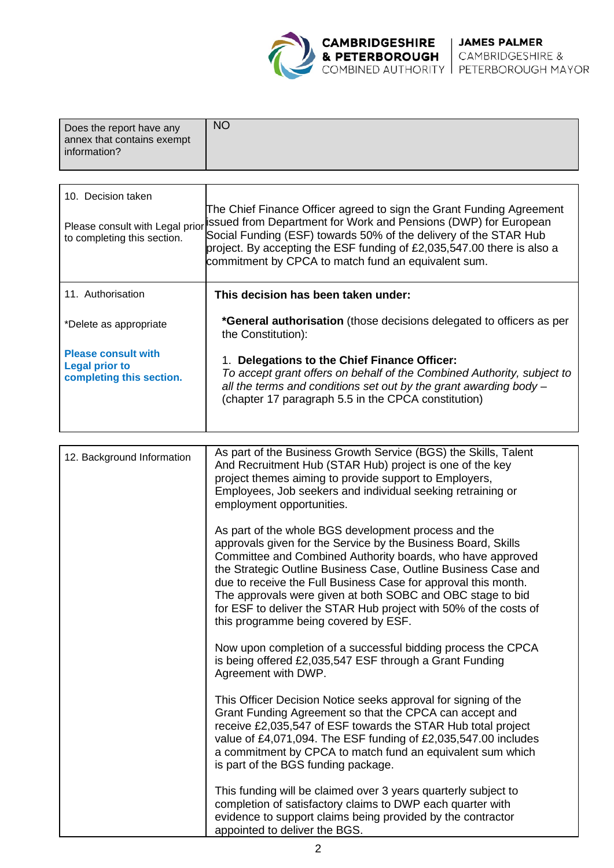

| Does the report have any<br>annex that contains exempt<br>information? | <b>NO</b> |
|------------------------------------------------------------------------|-----------|
|                                                                        |           |

| 10. Decision taken<br>Please consult with Legal prior<br>to completing this section. | The Chief Finance Officer agreed to sign the Grant Funding Agreement<br>issued from Department for Work and Pensions (DWP) for European<br>Social Funding (ESF) towards 50% of the delivery of the STAR Hub<br>project. By accepting the ESF funding of £2,035,547.00 there is also a<br>commitment by CPCA to match fund an equivalent sum. |
|--------------------------------------------------------------------------------------|----------------------------------------------------------------------------------------------------------------------------------------------------------------------------------------------------------------------------------------------------------------------------------------------------------------------------------------------|
| 11. Authorisation                                                                    | This decision has been taken under:                                                                                                                                                                                                                                                                                                          |
| *Delete as appropriate                                                               | *General authorisation (those decisions delegated to officers as per<br>the Constitution):                                                                                                                                                                                                                                                   |
| <b>Please consult with</b><br>Legal prior to<br>completing this section.             | Delegations to the Chief Finance Officer:<br>To accept grant offers on behalf of the Combined Authority, subject to<br>all the terms and conditions set out by the grant awarding body $-$<br>(chapter 17 paragraph 5.5 in the CPCA constitution)                                                                                            |

| 12. Background Information | As part of the Business Growth Service (BGS) the Skills, Talent<br>And Recruitment Hub (STAR Hub) project is one of the key<br>project themes aiming to provide support to Employers,<br>Employees, Job seekers and individual seeking retraining or<br>employment opportunities.                                                                                                                                                                                                                 |
|----------------------------|---------------------------------------------------------------------------------------------------------------------------------------------------------------------------------------------------------------------------------------------------------------------------------------------------------------------------------------------------------------------------------------------------------------------------------------------------------------------------------------------------|
|                            | As part of the whole BGS development process and the<br>approvals given for the Service by the Business Board, Skills<br>Committee and Combined Authority boards, who have approved<br>the Strategic Outline Business Case, Outline Business Case and<br>due to receive the Full Business Case for approval this month.<br>The approvals were given at both SOBC and OBC stage to bid<br>for ESF to deliver the STAR Hub project with 50% of the costs of<br>this programme being covered by ESF. |
|                            | Now upon completion of a successful bidding process the CPCA<br>is being offered £2,035,547 ESF through a Grant Funding<br>Agreement with DWP.                                                                                                                                                                                                                                                                                                                                                    |
|                            | This Officer Decision Notice seeks approval for signing of the<br>Grant Funding Agreement so that the CPCA can accept and<br>receive £2,035,547 of ESF towards the STAR Hub total project<br>value of £4,071,094. The ESF funding of £2,035,547.00 includes<br>a commitment by CPCA to match fund an equivalent sum which<br>is part of the BGS funding package.                                                                                                                                  |
|                            | This funding will be claimed over 3 years quarterly subject to<br>completion of satisfactory claims to DWP each quarter with<br>evidence to support claims being provided by the contractor<br>appointed to deliver the BGS.                                                                                                                                                                                                                                                                      |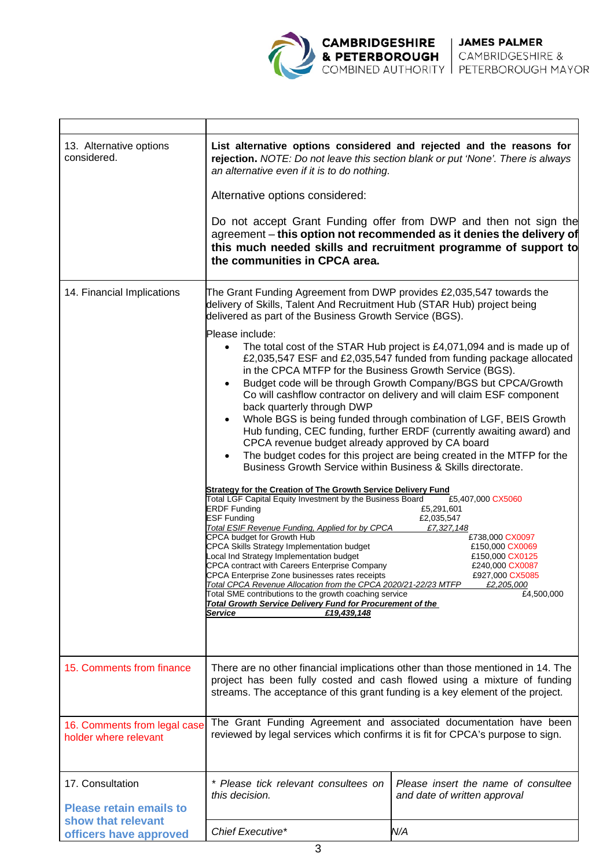

 $\Gamma$ 

┱

٦

| 13. Alternative options<br>considered.                | List alternative options considered and rejected and the reasons for<br>rejection. NOTE: Do not leave this section blank or put 'None'. There is always<br>an alternative even if it is to do nothing.                                                                                                                                                                                                                                                                                                                                                                                                                                                                                                                                                                                                                                                                                                                                                                                                                                                                                                                                                                                                                                                                                                                                                                                                                                                                                                                                                                                                                                                                                                                                                                                                                                                           |                                                                     |  |  |
|-------------------------------------------------------|------------------------------------------------------------------------------------------------------------------------------------------------------------------------------------------------------------------------------------------------------------------------------------------------------------------------------------------------------------------------------------------------------------------------------------------------------------------------------------------------------------------------------------------------------------------------------------------------------------------------------------------------------------------------------------------------------------------------------------------------------------------------------------------------------------------------------------------------------------------------------------------------------------------------------------------------------------------------------------------------------------------------------------------------------------------------------------------------------------------------------------------------------------------------------------------------------------------------------------------------------------------------------------------------------------------------------------------------------------------------------------------------------------------------------------------------------------------------------------------------------------------------------------------------------------------------------------------------------------------------------------------------------------------------------------------------------------------------------------------------------------------------------------------------------------------------------------------------------------------|---------------------------------------------------------------------|--|--|
|                                                       | Alternative options considered:                                                                                                                                                                                                                                                                                                                                                                                                                                                                                                                                                                                                                                                                                                                                                                                                                                                                                                                                                                                                                                                                                                                                                                                                                                                                                                                                                                                                                                                                                                                                                                                                                                                                                                                                                                                                                                  |                                                                     |  |  |
|                                                       | Do not accept Grant Funding offer from DWP and then not sign the<br>agreement - this option not recommended as it denies the delivery of<br>this much needed skills and recruitment programme of support to<br>the communities in CPCA area.                                                                                                                                                                                                                                                                                                                                                                                                                                                                                                                                                                                                                                                                                                                                                                                                                                                                                                                                                                                                                                                                                                                                                                                                                                                                                                                                                                                                                                                                                                                                                                                                                     |                                                                     |  |  |
| 14. Financial Implications                            | The Grant Funding Agreement from DWP provides £2,035,547 towards the<br>delivery of Skills, Talent And Recruitment Hub (STAR Hub) project being<br>delivered as part of the Business Growth Service (BGS).<br>Please include:<br>The total cost of the STAR Hub project is £4,071,094 and is made up of<br>$\bullet$<br>£2,035,547 ESF and £2,035,547 funded from funding package allocated<br>in the CPCA MTFP for the Business Growth Service (BGS).<br>Budget code will be through Growth Company/BGS but CPCA/Growth<br>Co will cashflow contractor on delivery and will claim ESF component<br>back quarterly through DWP<br>Whole BGS is being funded through combination of LGF, BEIS Growth<br>Hub funding, CEC funding, further ERDF (currently awaiting award) and<br>CPCA revenue budget already approved by CA board<br>The budget codes for this project are being created in the MTFP for the<br>Business Growth Service within Business & Skills directorate.<br><b>Strategy for the Creation of The Growth Service Delivery Fund</b><br>Total LGF Capital Equity Investment by the Business Board<br>£5,407,000 CX5060<br><b>ERDF Funding</b><br>£5,291,601<br><b>ESF Funding</b><br>£2,035,547<br>Total ESIF Revenue Funding, Applied for by CPCA<br>£7,327,148<br><b>CPCA budget for Growth Hub</b><br>£738,000 CX0097<br>CPCA Skills Strategy Implementation budget<br>£150,000 CX0069<br>Local Ind Strategy Implementation budget<br>£150,000 CX0125<br>CPCA contract with Careers Enterprise Company<br>£240,000 CX0087<br>CPCA Enterprise Zone businesses rates receipts<br>£927,000 CX5085<br>Total CPCA Revenue Allocation from the CPCA 2020/21-22/23 MTFP<br>£2,205,000<br>Total SME contributions to the growth coaching service<br>£4,500,000<br>Total Growth Service Delivery Fund for Procurement of the<br>£19,439,148<br>Service |                                                                     |  |  |
|                                                       |                                                                                                                                                                                                                                                                                                                                                                                                                                                                                                                                                                                                                                                                                                                                                                                                                                                                                                                                                                                                                                                                                                                                                                                                                                                                                                                                                                                                                                                                                                                                                                                                                                                                                                                                                                                                                                                                  |                                                                     |  |  |
| 15. Comments from finance                             |                                                                                                                                                                                                                                                                                                                                                                                                                                                                                                                                                                                                                                                                                                                                                                                                                                                                                                                                                                                                                                                                                                                                                                                                                                                                                                                                                                                                                                                                                                                                                                                                                                                                                                                                                                                                                                                                  |                                                                     |  |  |
|                                                       | There are no other financial implications other than those mentioned in 14. The<br>project has been fully costed and cash flowed using a mixture of funding<br>streams. The acceptance of this grant funding is a key element of the project.                                                                                                                                                                                                                                                                                                                                                                                                                                                                                                                                                                                                                                                                                                                                                                                                                                                                                                                                                                                                                                                                                                                                                                                                                                                                                                                                                                                                                                                                                                                                                                                                                    |                                                                     |  |  |
| 16. Comments from legal case<br>holder where relevant | The Grant Funding Agreement and associated documentation have been<br>reviewed by legal services which confirms it is fit for CPCA's purpose to sign.                                                                                                                                                                                                                                                                                                                                                                                                                                                                                                                                                                                                                                                                                                                                                                                                                                                                                                                                                                                                                                                                                                                                                                                                                                                                                                                                                                                                                                                                                                                                                                                                                                                                                                            |                                                                     |  |  |
| 17. Consultation<br><b>Please retain emails to</b>    | * Please tick relevant consultees on<br>this decision.                                                                                                                                                                                                                                                                                                                                                                                                                                                                                                                                                                                                                                                                                                                                                                                                                                                                                                                                                                                                                                                                                                                                                                                                                                                                                                                                                                                                                                                                                                                                                                                                                                                                                                                                                                                                           | Please insert the name of consultee<br>and date of written approval |  |  |
| show that relevant<br>officers have approved          | Chief Executive*                                                                                                                                                                                                                                                                                                                                                                                                                                                                                                                                                                                                                                                                                                                                                                                                                                                                                                                                                                                                                                                                                                                                                                                                                                                                                                                                                                                                                                                                                                                                                                                                                                                                                                                                                                                                                                                 | N/A                                                                 |  |  |
|                                                       |                                                                                                                                                                                                                                                                                                                                                                                                                                                                                                                                                                                                                                                                                                                                                                                                                                                                                                                                                                                                                                                                                                                                                                                                                                                                                                                                                                                                                                                                                                                                                                                                                                                                                                                                                                                                                                                                  |                                                                     |  |  |